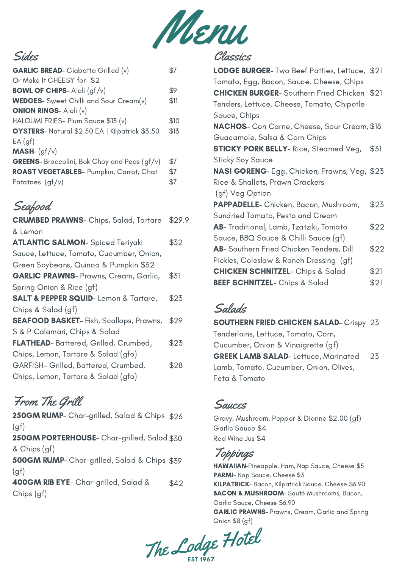

# Sides

| <b>GARLIC BREAD-</b> Ciabatta Grilled (v)            |      |
|------------------------------------------------------|------|
| Or Make It CHEESY for-\$2                            |      |
| <b>BOWL OF CHIPS-Aioli (gf/v)</b>                    | \$9  |
| <b>WEDGES</b> - Sweet Chilli and Sour Cream(v)       | \$11 |
| <b>ONION RINGS- Aioli (v)</b>                        |      |
| HALOUMI FRIES- Plum Sauce \$13 (v)                   | \$10 |
| OYSTERS- Natural \$2.50 EA   Kilpatrick \$3.50       | \$13 |
| EA(af)                                               |      |
| <b>MASH-</b> $(gf/v)$                                |      |
| <b>GREENS</b> - Broccolini, Bok Choy and Peas (gf/v) | \$7  |
| ROAST VEGETABLES- Pumpkin, Carrot, Chat              | \$7  |
| Potatoes $(gf/v)$                                    | \$7  |
|                                                      |      |

# Seafood

| <b>CRUMBED PRAWNS-</b> Chips, Salad, Tartare        | \$29.9 |
|-----------------------------------------------------|--------|
| & Lemon                                             |        |
| <b>ATLANTIC SALMON-</b> Spiced Teriyaki             | \$32   |
| Sauce, Lettuce, Tomato, Cucumber, Onion,            |        |
| Green Soybeans, Quinoa & Pumpkin \$32               |        |
| <b>GARLIC PRAWNS- Prawns, Cream, Garlic,</b>        | \$31   |
| Spring Onion & Rice (gf)                            |        |
| <b>SALT &amp; PEPPER SQUID-Lemon &amp; Tartare,</b> | \$23   |
| Chips & Salad (gf)                                  |        |
| <b>SEAFOOD BASKET-</b> Fish, Scallops, Prawns,      | \$29   |
| S & P Calamari, Chips & Salad                       |        |
| FLATHEAD- Battered, Grilled, Crumbed,               | \$23   |
| Chips, Lemon, Tartare & Salad (gfo)                 |        |
| GARFISH- Grilled, Battered, Crumbed,                | \$28   |
| Chips, Lemon, Tartare & Salad (gfo)                 |        |

# From The Grill

250GM RUMP- Char-grilled, Salad & Chips \$26  $(gf)$ 250GM PORTERHOUSE- Char-grilled, Salad \$30 & Chips (gf) 500GM RUMP- Char-grilled, Salad & Chips \$39  $(gf)$ 400GM RIB EYE- Char-grilled, Salad & Chips (gf) \$42

# Classics

| LODGE BURGER- Two Beef Patties, Lettuce, \$21        |      |
|------------------------------------------------------|------|
| Tomato, Egg, Bacon, Sauce, Cheese, Chips             |      |
| <b>CHICKEN BURGER-</b> Southern Fried Chicken \$21   |      |
| Tenders, Lettuce, Cheese, Tomato, Chipotle           |      |
| Sauce, Chips                                         |      |
| NACHOS- Con Carne, Cheese, Sour Cream, \$18          |      |
| Guacamole, Salsa & Corn Chips                        |      |
| <b>STICKY PORK BELLY-</b> Rice, Steamed Veg,         | \$31 |
| <b>Sticky Soy Sauce</b>                              |      |
| <b>NASI GORENG</b> - Egg, Chicken, Prawns, Veg, \$23 |      |
| Rice & Shallots, Prawn Crackers                      |      |
| (gf) Veg Option                                      |      |
| PAPPADELLE- Chicken, Bacon, Mushroom,                | \$25 |
| Sundried Tomato, Pesto and Cream                     |      |
| <b>AB-</b> Traditional, Lamb, Tzatziki, Tomato       | \$22 |
| Sauce, BBQ Sauce & Chilli Sauce (gf)                 |      |
| AB- Southern Fried Chicken Tenders, Dill             | \$22 |
| Pickles, Coleslaw & Ranch Dressing (gf)              |      |
| <b>CHICKEN SCHNITZEL- Chips &amp; Salad</b>          | \$21 |
| <b>BEEF SCHNITZEL-</b> Chips & Salad                 | \$21 |
|                                                      |      |

# Salads

**SOUTHERN FRIED CHICKEN SALAD- Crispy 23** Tenderloins, Lettuce, Tomato, Corn, Cucumber, Onion & Vinaigrette (gf) GREEK LAMB SALAD- Lettuce, Marinated Lamb, Tomato, Cucumber, Onion, Olives, Feta & Tomato 23

# Sauces

Gravy, Mushroom, Pepper & Dianne \$2.00 (gf) Garlic Sauce \$4 Red Wine Jus \$4

Toppings

HAWAIIAN-Pineapple, Ham, Nap Sauce, Cheese \$5 PARMI- Nap Sauce, Cheese \$3 KILPATRICK- Bacon, Kilpatrick Sauce, Cheese \$6.90 BACON & MUSHROOM- Sauté Mushrooms, Bacon, Garlic Sauce, Cheese \$6.90 GARLIC PRAWNS- Prawns, Cream, Garlic and Spring Onion \$8 (gf)

The Lodge he Lodge Hotel